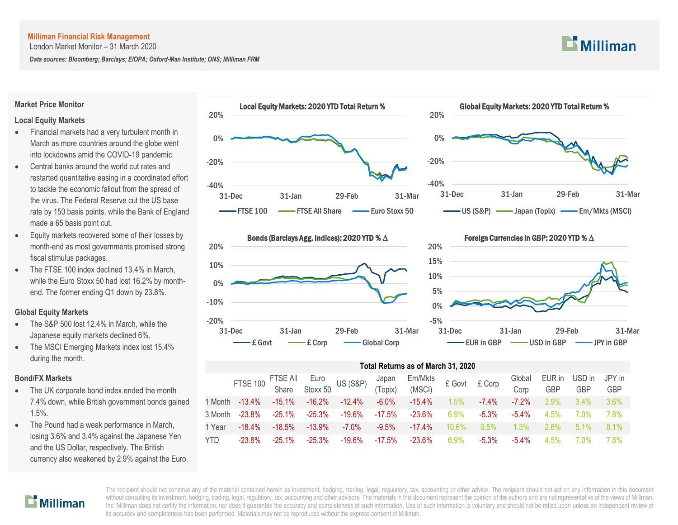London Market Monitor – 31 March 2020

*Data sources: Bloomberg; Barclays; EIOPA; Oxford-Man Institute; ONS; Milliman FRM*



#### **Market Price Monitor**

#### **Local Equity Markets**

- Financial markets had a very turbulent month in March as more countries around the globe went into lockdowns amid the COVID-19 pandemic.
- Central banks around the world cut rates and restarted quantitative easing in a coordinated effort to tackle the economic fallout from the spread of the virus. The Federal Reserve cut the US base rate by 150 basis points, while the Bank of England made a 65 basis point cut.
- Equity markets recovered some of their losses by month-end as most governments promised strong fiscal stimulus packages.
- The FTSE 100 index declined 13.4% in March, while the Euro Stoxx 50 had lost 16.2% by monthend. The former ending Q1 down by 23.8%.

#### **Global Equity Markets**

- The S&P 500 lost 12.4% in March, while the Japanese equity markets declined 6%.
- The MSCI Emerging Markets index lost 15.4% during the month.

#### **Bond/FX Markets**

- The UK corporate bond index ended the month 7.4% down, while British government bonds gained 1.5%.
- The Pound had a weak performance in March, losing 3.6% and 3.4% against the Japanese Yen and the US Dollar, respectively. The British currency also weakened by 2.9% against the Euro.







#### Foreign Currencies in GBP: 2020 YTD % ∆



### **Total Returns as of March 31, 2020**

|            | FTSE 100 FTSE All Euro US (S&P) Japan<br>Share Stoxx 50 US (S&P) (Topix) |           |           |        |           | $Em/Mkts$ $\pounds$ Govt $\pounds$ Corp<br>(MSCI) |          |          | Global<br>Corp | EUR in<br><b>GBP</b> | USD in<br><b>GBP</b> | JPY in<br><b>GBP</b> |
|------------|--------------------------------------------------------------------------|-----------|-----------|--------|-----------|---------------------------------------------------|----------|----------|----------------|----------------------|----------------------|----------------------|
| 1 Month    | $-13.4\%$                                                                | $-15.1\%$ | $-16.2\%$ | -12.4% | -6.0%     | $-15.4\%$                                         | $1.5\%$  | $-7.4\%$ | $-7.2\%$       | $2.9\%$              | $3.4\%$              | $3.6\%$              |
| 3 Month    | $-23.8\%$                                                                | -25.1%    | -25.3%    | -19.6% | -17.5%    | -23.6%                                            | $6.9\%$  | $-5.3\%$ | $-5.4\%$       | $4.5\%$              | 7 በ%                 | 7.8%                 |
| 1 Year     | $-18.4\%$                                                                | $-18.5%$  | $-13.9\%$ | -7.0%  | $-9.5\%$  | $-17.4\%$                                         | $10.6\%$ | $0.5\%$  | $1.3\%$        | $2.8\%$              | 51%                  | 8.1%                 |
| <b>YTD</b> | $-23.8\%$                                                                | $-25.1\%$ | $-25.3\%$ | -19.6% | $-17.5\%$ | $-23.6\%$                                         | $6.9\%$  | $-5.3\%$ | $-5.4\%$       | 4.5%                 | 7 0 <sub>%</sub>     | 7.8%                 |

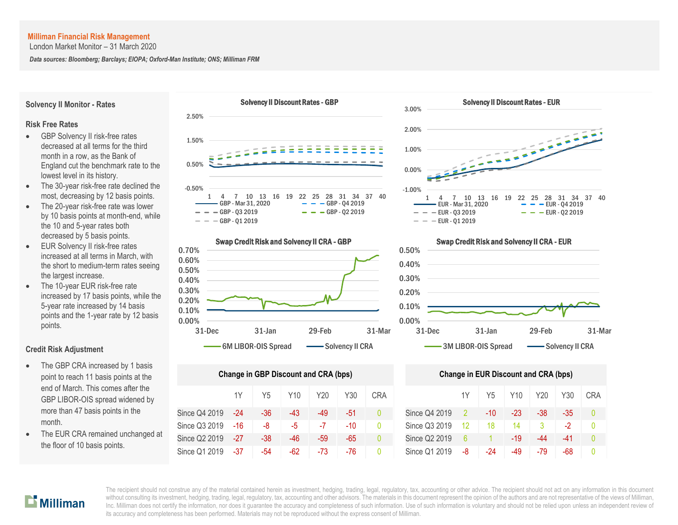London Market Monitor – 31 March 2020

*Data sources: Bloomberg; Barclays; EIOPA; Oxford-Man Institute; ONS; Milliman FRM*

**Solvency II Monitor - Rates**

#### Solvency II Discount Rates - GBP



- GBP Solvency II risk-free rates decreased at all terms for the third month in a row, as the Bank of England cut the benchmark rate to the lowest level in its history.
- The 30-year risk-free rate declined the most, decreasing by 12 basis points.
- The 20-year risk-free rate was lower by 10 basis points at month-end, while the 10 and 5-year rates both decreased by 5 basis points.
- EUR Solvency II risk-free rates increased at all terms in March, with the short to medium-term rates seeing the largest increase.
- The 10-year EUR risk-free rate increased by 17 basis points, while the 5-year rate increased by 14 basis points and the 1-year rate by 12 basis points.

#### **Credit Risk Adjustment**

- The GBP CRA increased by 1 basis point to reach 11 basis points at the end of March. This comes after the GBP LIBOR-OIS spread widened by more than 47 basis points in the month.
- The EUR CRA remained unchanged at the floor of 10 basis points.





Solvency II Discount Rates - EUR

Swap Credit Risk and Solvency II CRA - GBP

 $- -$  GBP - 01 2019

0.70%



| <b>Change in GBP Discount and CRA (bps)</b> | <b>Change in EUR Discount and CRA (bps)</b> |       |     |       |     |              |               |    |                |     |     |       |    |
|---------------------------------------------|---------------------------------------------|-------|-----|-------|-----|--------------|---------------|----|----------------|-----|-----|-------|----|
|                                             | 1Y                                          | Y5    | Y10 | Y20   | Y30 | <b>CRA</b>   |               | 1Y | Y <sub>5</sub> | Y10 | Y20 | Y30   | СR |
| Since Q4 2019                               | $-24$                                       | $-36$ | -43 | $-49$ | -51 | 0            | Since Q4 2019 |    | -10            | -23 | -38 | -35   | 0  |
| Since Q3 2019                               | -16                                         | -8    | -5  | -7    | -10 | $\mathbf{0}$ | Since Q3 2019 | 12 | 18             | 14  | 3   | $-2$  | Ω  |
| Since Q2 2019                               | $-27$                                       | $-38$ | -46 | -59   | -65 | 0            | Since Q2 2019 | 6  |                | -19 | -44 | $-41$ | Λ  |
| Since Q1 2019                               | $-37$                                       | -54   | -62 | -73   | -76 | 0            | Since Q1 2019 | -8 | -24            | -49 | -79 | -68   | Ω  |



|       | ge in GBP Discount and CRA (bps) |                 |     |       |            | <b>Change in EUR Discount and CRA (bps)</b> |    |     |                 |     |     |            |  |
|-------|----------------------------------|-----------------|-----|-------|------------|---------------------------------------------|----|-----|-----------------|-----|-----|------------|--|
| 1Y    | Y <sub>5</sub>                   | Y <sub>10</sub> | Y20 | Y30   | <b>CRA</b> |                                             | 1Y | Y5  | Y <sub>10</sub> | Y20 | Y30 | <b>CRA</b> |  |
| $-24$ | $-36$                            | -43             | -49 | $-51$ |            | Since Q4 2019                               | -2 | -10 | -23             | -38 | -35 |            |  |
| -16   | -8                               | $-5$            | -7  | $-10$ | $\Omega$   | Since Q3 2019                               | 12 | 18  | 14              |     | -2  |            |  |
| -27   | $-38$                            | $-46$           | -59 | -65   | 0          | Since Q2 2019                               | 6  |     | -19             | -44 | -41 |            |  |
| -37   | -54                              | -62             | -73 | -76   |            | Since Q1 2019                               | -8 | -24 | -49             | -79 | -68 |            |  |

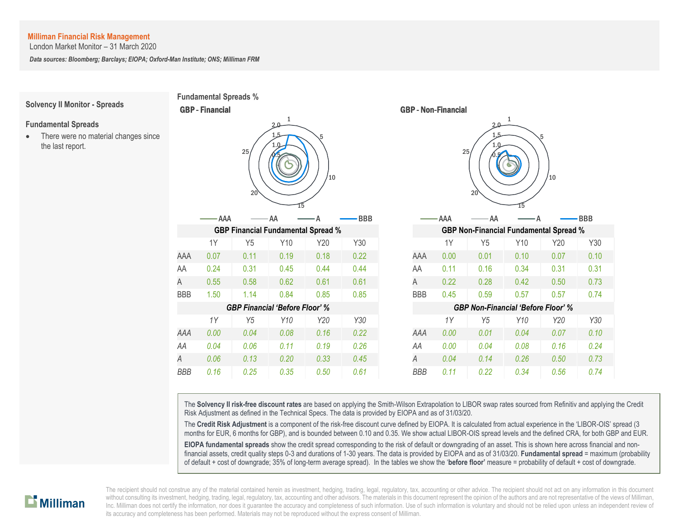London Market Monitor – 31 March 2020

*Data sources: Bloomberg; Barclays; EIOPA; Oxford-Man Institute; ONS; Milliman FRM*



The **Solvency II risk-free discount rates** are based on applying the Smith-Wilson Extrapolation to LIBOR swap rates sourced from Refinitiv and applying the Credit Risk Adjustment as defined in the Technical Specs. The data is provided by EIOPA and as of 31/03/20.

The **Credit Risk Adjustment** is a component of the risk-free discount curve defined by EIOPA. It is calculated from actual experience in the 'LIBOR-OIS' spread (3 months for EUR, 6 months for GBP), and is bounded between 0.10 and 0.35. We show actual LIBOR-OIS spread levels and the defined CRA, for both GBP and EUR.

**EIOPA fundamental spreads** show the credit spread corresponding to the risk of default or downgrading of an asset. This is shown here across financial and nonfinancial assets, credit quality steps 0-3 and durations of 1-30 years. The data is provided by EIOPA and as of 31/03/20. **Fundamental spread** = maximum (probability of default + cost of downgrade; 35% of long-term average spread). In the tables we show the '**before floor'** measure = probability of default + cost of downgrade.

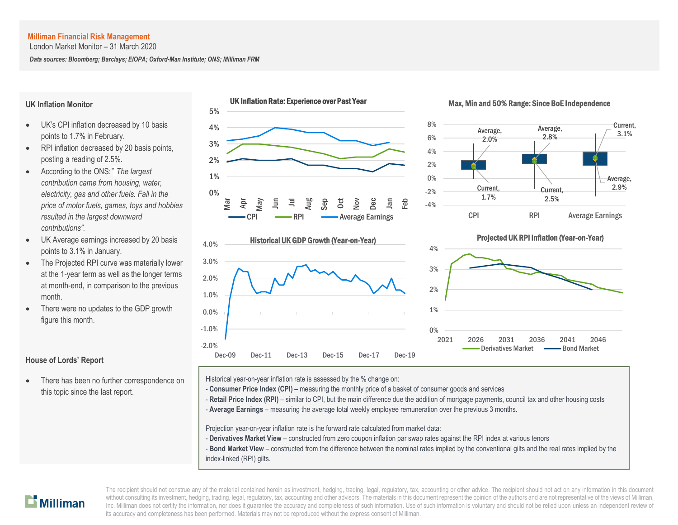London Market Monitor – 31 March 2020

*Data sources: Bloomberg; Barclays; EIOPA; Oxford-Man Institute; ONS; Milliman FRM*

#### **UK Inflation Monitor**

- UK's CPI inflation decreased by 10 basis points to 1.7% in February.
- RPI inflation decreased by 20 basis points, posting a reading of 2.5%.
- According to the ONS:*" The largest contribution came from housing, water, electricity, gas and other fuels. Fall in the price of motor fuels, games, toys and hobbies resulted in the largest downward contributions".*
- UK Average earnings increased by 20 basis points to 3.1% in January.
- The Projected RPI curve was materially lower at the 1-year term as well as the longer terms at month-end, in comparison to the previous month.
- There were no updates to the GDP growth figure this month.

# **House of Lords' Report**

 There has been no further correspondence on this topic since the last report.



#### Max, Min and 50% Range: Since BoE Independence





## Projected UK RPI Inflation (Year-on-Year)



Historical year-on-year inflation rate is assessed by the % change on:

- **Consumer Price Index (CPI)** measuring the monthly price of a basket of consumer goods and services
- Retail Price Index (RPI) similar to CPI, but the main difference due the addition of mortgage payments, council tax and other housing costs
- A **Average Earnings** measuring the average total weekly employee remuneration over the previous 3 months.

Projection year-on-year inflation rate is the forward rate calculated from market data:

- **Derivatives Market View** constructed from zero coupon inflation par swap rates against the RPI index at various tenors
- **Bond Market View** constructed from the difference between the nominal rates implied by the conventional gilts and the real rates implied by the index-linked (RPI) gilts.

# $\mathbf{L}$  Milliman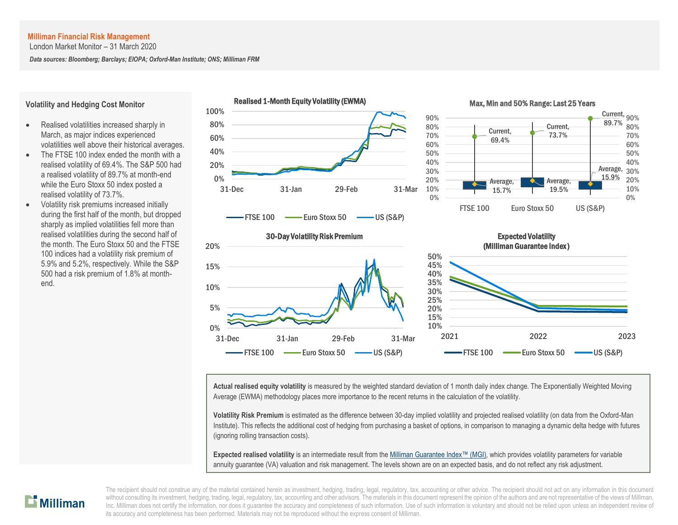London Market Monitor – 31 March 2020

*Data sources: Bloomberg; Barclays; EIOPA; Oxford-Man Institute; ONS; Milliman FRM*



**Actual realised equity volatility** is measured by the weighted standard deviation of 1 month daily index change. The Exponentially Weighted Moving Average (EWMA) methodology places more importance to the recent returns in the calculation of the volatility.

**Volatility Risk Premium** is estimated as the difference between 30-day implied volatility and projected realised volatility (on data from the Oxford-Man Institute). This reflects the additional cost of hedging from purchasing a basket of options, in comparison to managing a dynamic delta hedge with futures (ignoring rolling transaction costs).

**Expected realised volatility** is an intermediate result from th[e Milliman Guarantee Index](http://uk.milliman.com/Solutions/Products/The-Milliman-Guarantee-Index-and-Milliman-Hedge-Cost-Index/)™ (MGI), which provides volatility parameters for variable annuity guarantee (VA) valuation and risk management. The levels shown are on an expected basis, and do not reflect any risk adjustment.



end.